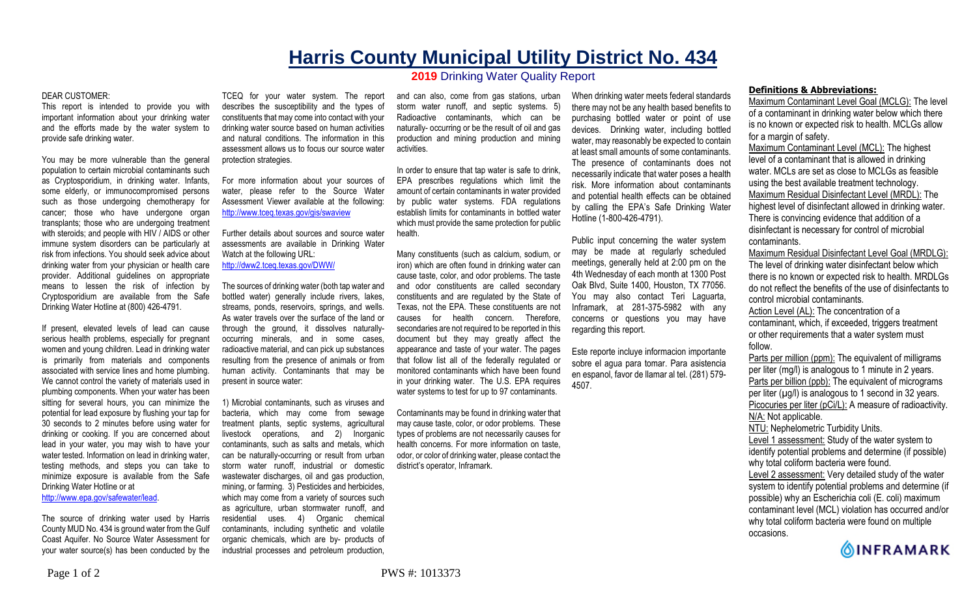## **Harris County Municipal Utility District No. 434**

## **2019** Drinking Water Quality Report

## DEAR CUSTOMER:

This report is intended to provide you with important information about your drinking water and the efforts made by the water system to provide safe drinking water.

You may be more vulnerable than the general population to certain microbial contaminants such as Cryptosporidium, in drinking water. Infants, some elderly, or immunocompromised persons such as those undergoing chemotherapy for cancer; those who have undergone organ transplants; those who are undergoing treatment with steroids; and people with HIV / AIDS or other immune system disorders can be particularly at risk from infections. You should seek advice about drinking water from your physician or health care provider. Additional guidelines on appropriate means to lessen the risk of infection by Cryptosporidium are available from the Safe Drinking Water Hotline at (800) 426-4791.

If present, elevated levels of lead can cause serious health problems, especially for pregnant women and young children. Lead in drinking water is primarily from materials and components associated with service lines and home plumbing. We cannot control the variety of materials used in plumbing components. When your water has been sitting for several hours, you can minimize the potential for lead exposure by flushing your tap for 30 seconds to 2 minutes before using water for drinking or cooking. If you are concerned about lead in your water, you may wish to have your water tested. Information on lead in drinking water, testing methods, and steps you can take to minimize exposure is available from the Safe Drinking Water Hotline or at

http://www.epa.gov/safewater/lead.

The source of drinking water used by Harris County MUD No. 434 is ground water from the Gulf Coast Aquifer. No Source Water Assessment for your water source(s) has been conducted by the TCEQ for your water system. The report describes the susceptibility and the types of constituents that may come into contact with your drinking water source based on human activities and natural conditions. The information in this assessment allows us to focus our source water protection strategies.

For more information about your sources of water, please refer to the Source Water Assessment Viewer available at the following: http://www.tceq.texas.gov/gis/swaview

Further details about sources and source water assessments are available in Drinking Water Watch at the following URL: http://dww2.tceq.texas.gov/DWW/

The sources of drinking water (both tap water and bottled water) generally include rivers, lakes, streams, ponds, reservoirs, springs, and wells. As water travels over the surface of the land or through the ground, it dissolves naturallyoccurring minerals, and in some cases, radioactive material, and can pick up substances resulting from the presence of animals or from human activity. Contaminants that may be present in source water:

1) Microbial contaminants, such as viruses and bacteria, which may come from sewage treatment plants, septic systems, agricultural livestock operations, and 2) Inorganic contaminants, such as salts and metals, which can be naturally-occurring or result from urban storm water runoff, industrial or domestic wastewater discharges, oil and gas production, mining, or farming. 3) Pesticides and herbicides, which may come from a variety of sources such as agriculture, urban stormwater runoff, and residential uses. 4) Organic chemical contaminants, including synthetic and volatile organic chemicals, which are by- products of industrial processes and petroleum production,

and can also, come from gas stations, urban storm water runoff, and septic systems. 5) Radioactive contaminants, which can be naturally- occurring or be the result of oil and gas production and mining production and mining activities.

In order to ensure that tap water is safe to drink, EPA prescribes regulations which limit the amount of certain contaminants in water provided by public water systems. FDA regulations establish limits for contaminants in bottled water which must provide the same protection for public health.

Many constituents (such as calcium, sodium, or iron) which are often found in drinking water can cause taste, color, and odor problems. The taste and odor constituents are called secondary constituents and are regulated by the State of Texas, not the EPA. These constituents are not causes for health concern. Therefore, secondaries are not required to be reported in this document but they may greatly affect the appearance and taste of your water. The pages that follow list all of the federally regulated or monitored contaminants which have been found in your drinking water. The U.S. EPA requires water systems to test for up to 97 contaminants.

Contaminants may be found in drinking water that may cause taste, color, or odor problems. These types of problems are not necessarily causes for health concerns. For more information on taste, odor, or color of drinking water, please contact the district's operator, Inframark.

When drinking water meets federal standards there may not be any health based benefits to purchasing bottled water or point of use devices. Drinking water, including bottled water, may reasonably be expected to contain at least small amounts of some contaminants. The presence of contaminants does not necessarily indicate that water poses a health risk. More information about contaminants and potential health effects can be obtained by calling the EPA's Safe Drinking Water Hotline (1-800-426-4791).

Public input concerning the water system may be made at regularly scheduled meetings, generally held at 2:00 pm on the 4th Wednesday of each month at 1300 Post Oak Blvd, Suite 1400, Houston, TX 77056. You may also contact Teri Laguarta, Inframark, at 281-375-5982 with any concerns or questions you may have regarding this report.

Este reporte incluye informacion importante sobre el agua para tomar. Para asistencia en espanol, favor de llamar al tel. (281) 579- 4507.

## **Definitions & Abbreviations:**

Maximum Contaminant Level Goal (MCLG): The level of a contaminant in drinking water below which there is no known or expected risk to health. MCLGs allow for a margin of safety.

Maximum Contaminant Level (MCL): The highest level of a contaminant that is allowed in drinking water. MCLs are set as close to MCLGs as feasible using the best available treatment technology. Maximum Residual Disinfectant Level (MRDL): The highest level of disinfectant allowed in drinking water. There is convincing evidence that addition of a disinfectant is necessary for control of microbial contaminants.

Maximum Residual Disinfectant Level Goal (MRDLG): The level of drinking water disinfectant below which there is no known or expected risk to health. MRDLGs do not reflect the benefits of the use of disinfectants to control microbial contaminants.

Action Level (AL): The concentration of a contaminant, which, if exceeded, triggers treatment or other requirements that a water system must follow.

Parts per million (ppm): The equivalent of milligrams per liter (mg/l) is analogous to 1 minute in 2 years. Parts per billion (ppb): The equivalent of micrograms per liter  $(\mu g/l)$  is analogous to 1 second in 32 years. Picocuries per liter (pCi/L): A measure of radioactivity. N/A: Not applicable. NTU: Nephelometric Turbidity Units.

Level 1 assessment: Study of the water system to identify potential problems and determine (if possible) why total coliform bacteria were found.

Level 2 assessment: Very detailed study of the water system to identify potential problems and determine (if possible) why an Escherichia coli (E. coli) maximum contaminant level (MCL) violation has occurred and/or why total coliform bacteria were found on multiple occasions.